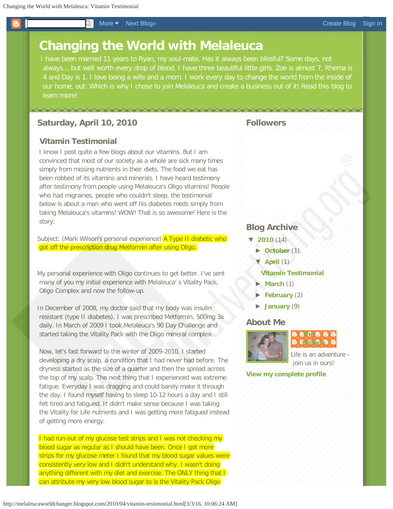<span id="page-0-0"></span>Т

## **[Changing the World with Melaleuca](http://melaleucaworldchanger.blogspot.com/)**

I have been married 11 years to Ryan, my soul-mate. Has it always been blissful? Some days, not always....but well worth every drop of blood. I have three beautiful little girls. Zoe is almost 7, Rhema is 4 and Day is 1. I love being a wife and a mom. I work every day to change the world from the inside of our home, out. Which is why I chose to join Melaleuca and create a business out of it! Read this blog to learn more!

## **Saturday, April 10, 2010**

## **Vitamin Testimonial**

I know I post quite a few blogs about our vitamins. But I am convinced that most of our society as a whole are sick many times simply from missing nutrients in their diets. The food we eat has been robbed of its vitamins and minerals. I have heard testimony after testimony from people using Melaleuca's Oligo vitamins! People who had migraines, people who couldn't sleep, the testimonial below is about a man who went off his diabetes meds simply from taking Melaleuca's vitamins! WOW! That is so awesome! Here is the story:

Subject: (Mark Wilson's personal experience) **A Type II diabetic who** got off the prescription drug Metformin after using Oligo.

My personal experience with Oligo continues to get better. I've sent many of you my initial experience with Melaleuca' s Vitality Pack, Oligo Complex and now the follow-up.

In December of 2008, my doctor said that my body was insulin resistant (type II diabetes). I was prescribed Metformin, 500mg 3x daily. In March of 2009 I took Melaleuca's 90 Day Challenge and started taking the Vitality Pack with the Oligo mineral complex.

 Now, let's fast forward to the winter of 2009-2010. I started developing a dry scalp, a condition that I had never had before. The dryness started as the size of a quarter and then the spread across the top of my scalp. The next thing that I experienced was extreme fatigue. Everyday I was dragging and could barely make it through the day. I found myself having to sleep 10-12 hours a day and I still felt tired and fatigued. It didn't make sense because I was taking the Vitality for Life nutrients and I was getting more fatigued instead of getting more energy.

I had run-out of my glucose test strips and I was not checking my blood sugar as regular as I should have been. Once I got more strips for my glucose meter I found that my blood sugar values were consistently very low and I didn't understand why. I wasn't doing anything different with my diet and exercise. The ONLY thing that I can attribute my very low blood sugar to is the Vitality Pack Oligo

# **Followers**

## **Blog Archive**

- **[▼](javascript:void(0))[2010](http://melaleucaworldchanger.blogspot.com/search?updated-min=2010-01-01T00:00:00-08:00&updated-max=2011-01-01T00:00:00-08:00&max-results=14)** (14)
	- **[►](javascript:void(0))[October](http://melaleucaworldchanger.blogspot.com/2010_10_01_archive.html)** (1)
	- **[▼](javascript:void(0))[April](http://melaleucaworldchanger.blogspot.com/2010_04_01_archive.html)** (1)

### **[Vitamin Testimonial](#page-0-0)**

- **[►](javascript:void(0))[March](http://melaleucaworldchanger.blogspot.com/2010_03_01_archive.html)** (1)
- **[►](javascript:void(0))[February](http://melaleucaworldchanger.blogspot.com/2010_02_01_archive.html)** (2)
- $\blacktriangleright$ **[January](http://melaleucaworldchanger.blogspot.com/2010_01_01_archive.html)** (9)

## **About Me**



**B** *E* **R B B B** EMPLICATES

Life is an adventure join us in ours!

**[View my complete profile](https://www.blogger.com/profile/02631682839004419312)**